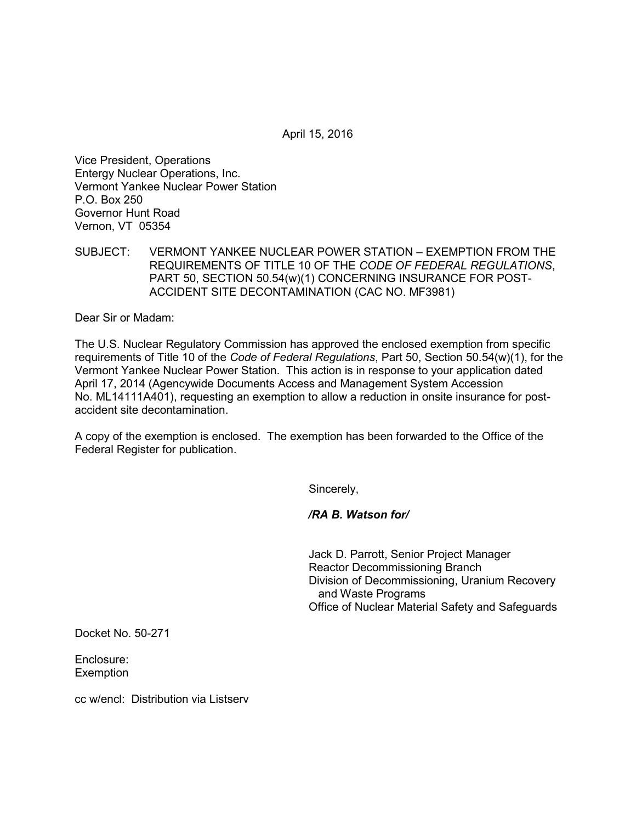April 15, 2016

Vice President, Operations Entergy Nuclear Operations, Inc. Vermont Yankee Nuclear Power Station P.O. Box 250 Governor Hunt Road Vernon, VT 05354

SUBJECT: VERMONT YANKEE NUCLEAR POWER STATION – EXEMPTION FROM THE REQUIREMENTS OF TITLE 10 OF THE *CODE OF FEDERAL REGULATIONS*, PART 50, SECTION 50.54(w)(1) CONCERNING INSURANCE FOR POST-ACCIDENT SITE DECONTAMINATION (CAC NO. MF3981)

Dear Sir or Madam:

The U.S. Nuclear Regulatory Commission has approved the enclosed exemption from specific requirements of Title 10 of the *Code of Federal Regulations*, Part 50, Section 50.54(w)(1), for the Vermont Yankee Nuclear Power Station. This action is in response to your application dated April 17, 2014 (Agencywide Documents Access and Management System Accession No. ML14111A401), requesting an exemption to allow a reduction in onsite insurance for postaccident site decontamination.

A copy of the exemption is enclosed. The exemption has been forwarded to the Office of the Federal Register for publication.

Sincerely,

*/RA B. Watson for/*

Jack D. Parrott, Senior Project Manager Reactor Decommissioning Branch Division of Decommissioning, Uranium Recovery and Waste Programs Office of Nuclear Material Safety and Safeguards

Docket No. 50-271

Enclosure: **Exemption** 

cc w/encl: Distribution via Listserv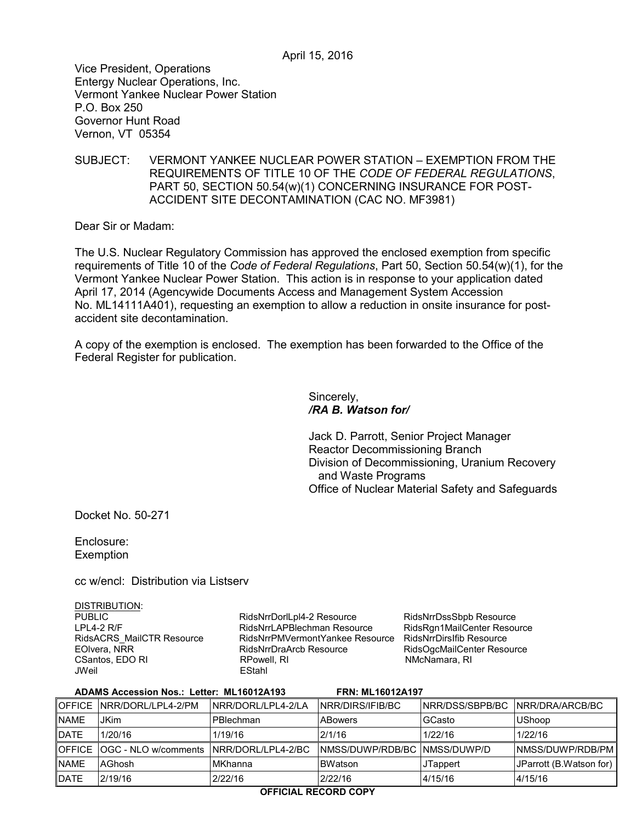Vice President, Operations Entergy Nuclear Operations, Inc. Vermont Yankee Nuclear Power Station P.O. Box 250 Governor Hunt Road Vernon, VT 05354

SUBJECT: VERMONT YANKEE NUCLEAR POWER STATION – EXEMPTION FROM THE REQUIREMENTS OF TITLE 10 OF THE *CODE OF FEDERAL REGULATIONS*, PART 50, SECTION 50.54(w)(1) CONCERNING INSURANCE FOR POST-ACCIDENT SITE DECONTAMINATION (CAC NO. MF3981)

Dear Sir or Madam:

The U.S. Nuclear Regulatory Commission has approved the enclosed exemption from specific requirements of Title 10 of the *Code of Federal Regulations*, Part 50, Section 50.54(w)(1), for the Vermont Yankee Nuclear Power Station. This action is in response to your application dated April 17, 2014 (Agencywide Documents Access and Management System Accession No. ML14111A401), requesting an exemption to allow a reduction in onsite insurance for postaccident site decontamination.

A copy of the exemption is enclosed. The exemption has been forwarded to the Office of the Federal Register for publication.

> Sincerely, */RA B. Watson for/*

Jack D. Parrott, Senior Project Manager Reactor Decommissioning Branch Division of Decommissioning, Uranium Recovery and Waste Programs Office of Nuclear Material Safety and Safeguards

Docket No. 50-271

Enclosure: **Exemption** 

cc w/encl: Distribution via Listserv

DISTRIBUTION:

PUBLIC LPL4-2 R/F RidsACRS\_MailCTR Resource EOlvera, NRR CSantos, EDO RI<br>JWeil

RidsNrrDorlLpl4-2 Resource RidsNrrLAPBlechman Resource RidsNrrPMVermontYankee Resource RidsNrrDirsIfib Resource RidsNrrDraArcb Resource<br>RPowell, RI EStahl

RidsNrrDssSbpb Resource RidsRgn1MailCenter Resource RidsOgcMailCenter Resource<br>NMcNamara, RI

| ADAMS Accession Nos.: Letter: ML16012A193<br><b>FRN: ML16012A197</b> |                                                  |                     |                                |                                   |                         |
|----------------------------------------------------------------------|--------------------------------------------------|---------------------|--------------------------------|-----------------------------------|-------------------------|
|                                                                      | OFFICE NRR/DORL/LPL4-2/PM                        | INRR/DORL/LPL4-2/LA | <b>INRR/DIRS/IFIB/BC</b>       | INRR/DSS/SBPB/BC INRR/DRA/ARCB/BC |                         |
| <b>NAME</b>                                                          | <b>JKim</b>                                      | PBlechman           | <b>ABowers</b>                 | GCasto                            | <b>UShoop</b>           |
| <b>DATE</b>                                                          | 1/20/16                                          | 1/19/16             | 2/1/16                         | 1/22/16                           | 1/22/16                 |
|                                                                      | OFFICE OGC - NLO w/comments   NRR/DORL/LPL4-2/BC |                     | INMSS/DUWP/RDB/BC INMSS/DUWP/D |                                   | INMSS/DUWP/RDB/PM       |
| <b>NAME</b>                                                          | AGhosh                                           | <b>MKhanna</b>      | <b>BWatson</b>                 | <b>JTappert</b>                   | JParrott (B.Watson for) |
| <b>DATE</b>                                                          | 2/19/16                                          | 2/22/16             | 2/22/16                        | 4/15/16                           | 4/15/16                 |
|                                                                      |                                                  |                     |                                |                                   |                         |

## **OFFICIAL RECORD COPY**